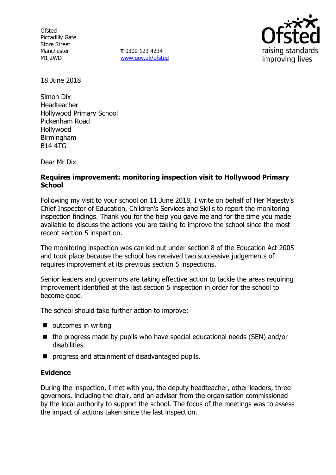Ofsted Piccadilly Gate Store Street Manchester M1 2WD

**T** 0300 123 4234 [www.gov.uk/ofsted](http://www.gov.uk/ofsted)



18 June 2018

Simon Dix Headteacher Hollywood Primary School Pickenham Road Hollywood Birmingham B14 4TG

Dear Mr Dix

# **Requires improvement: monitoring inspection visit to Hollywood Primary School**

Following my visit to your school on 11 June 2018, I write on behalf of Her Majesty's Chief Inspector of Education, Children's Services and Skills to report the monitoring inspection findings. Thank you for the help you gave me and for the time you made available to discuss the actions you are taking to improve the school since the most recent section 5 inspection.

The monitoring inspection was carried out under section 8 of the Education Act 2005 and took place because the school has received two successive judgements of requires improvement at its previous section 5 inspections.

Senior leaders and governors are taking effective action to tackle the areas requiring improvement identified at the last section 5 inspection in order for the school to become good.

The school should take further action to improve:

- $\blacksquare$  outcomes in writing
- $\blacksquare$  the progress made by pupils who have special educational needs (SEN) and/or disabilities
- **P** progress and attainment of disadvantaged pupils.

# **Evidence**

During the inspection, I met with you, the deputy headteacher, other leaders, three governors, including the chair, and an adviser from the organisation commissioned by the local authority to support the school. The focus of the meetings was to assess the impact of actions taken since the last inspection.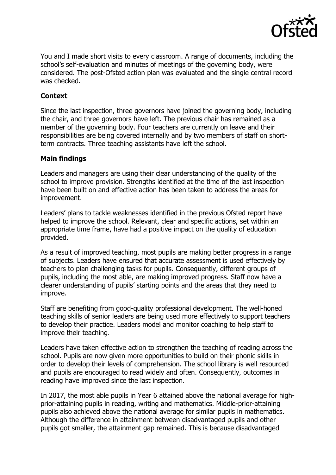

You and I made short visits to every classroom. A range of documents, including the school's self-evaluation and minutes of meetings of the governing body, were considered. The post-Ofsted action plan was evaluated and the single central record was checked.

# **Context**

Since the last inspection, three governors have joined the governing body, including the chair, and three governors have left. The previous chair has remained as a member of the governing body. Four teachers are currently on leave and their responsibilities are being covered internally and by two members of staff on shortterm contracts. Three teaching assistants have left the school.

# **Main findings**

Leaders and managers are using their clear understanding of the quality of the school to improve provision. Strengths identified at the time of the last inspection have been built on and effective action has been taken to address the areas for improvement.

Leaders' plans to tackle weaknesses identified in the previous Ofsted report have helped to improve the school. Relevant, clear and specific actions, set within an appropriate time frame, have had a positive impact on the quality of education provided.

As a result of improved teaching, most pupils are making better progress in a range of subjects. Leaders have ensured that accurate assessment is used effectively by teachers to plan challenging tasks for pupils. Consequently, different groups of pupils, including the most able, are making improved progress. Staff now have a clearer understanding of pupils' starting points and the areas that they need to improve.

Staff are benefiting from good-quality professional development. The well-honed teaching skills of senior leaders are being used more effectively to support teachers to develop their practice. Leaders model and monitor coaching to help staff to improve their teaching.

Leaders have taken effective action to strengthen the teaching of reading across the school. Pupils are now given more opportunities to build on their phonic skills in order to develop their levels of comprehension. The school library is well resourced and pupils are encouraged to read widely and often. Consequently, outcomes in reading have improved since the last inspection.

In 2017, the most able pupils in Year 6 attained above the national average for highprior-attaining pupils in reading, writing and mathematics. Middle-prior-attaining pupils also achieved above the national average for similar pupils in mathematics. Although the difference in attainment between disadvantaged pupils and other pupils got smaller, the attainment gap remained. This is because disadvantaged